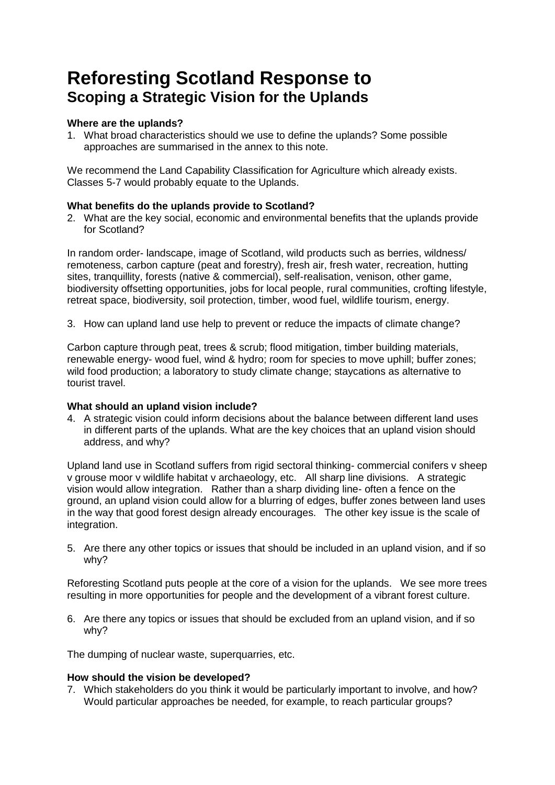# **Reforesting Scotland Response to Scoping a Strategic Vision for the Uplands**

## **Where are the uplands?**

1. What broad characteristics should we use to define the uplands? Some possible approaches are summarised in the annex to this note.

We recommend the Land Capability Classification for Agriculture which already exists. Classes 5-7 would probably equate to the Uplands.

### **What benefits do the uplands provide to Scotland?**

2. What are the key social, economic and environmental benefits that the uplands provide for Scotland?

In random order- landscape, image of Scotland, wild products such as berries, wildness/ remoteness, carbon capture (peat and forestry), fresh air, fresh water, recreation, hutting sites, tranquillity, forests (native & commercial), self-realisation, venison, other game, biodiversity offsetting opportunities, jobs for local people, rural communities, crofting lifestyle, retreat space, biodiversity, soil protection, timber, wood fuel, wildlife tourism, energy.

3. How can upland land use help to prevent or reduce the impacts of climate change?

Carbon capture through peat, trees & scrub; flood mitigation, timber building materials, renewable energy- wood fuel, wind & hydro; room for species to move uphill; buffer zones; wild food production; a laboratory to study climate change; staycations as alternative to tourist travel.

### **What should an upland vision include?**

4. A strategic vision could inform decisions about the balance between different land uses in different parts of the uplands. What are the key choices that an upland vision should address, and why?

Upland land use in Scotland suffers from rigid sectoral thinking- commercial conifers v sheep v grouse moor v wildlife habitat v archaeology, etc. All sharp line divisions. A strategic vision would allow integration. Rather than a sharp dividing line- often a fence on the ground, an upland vision could allow for a blurring of edges, buffer zones between land uses in the way that good forest design already encourages. The other key issue is the scale of integration.

5. Are there any other topics or issues that should be included in an upland vision, and if so why?

Reforesting Scotland puts people at the core of a vision for the uplands. We see more trees resulting in more opportunities for people and the development of a vibrant forest culture.

6. Are there any topics or issues that should be excluded from an upland vision, and if so why?

The dumping of nuclear waste, superquarries, etc.

### **How should the vision be developed?**

7. Which stakeholders do you think it would be particularly important to involve, and how? Would particular approaches be needed, for example, to reach particular groups?